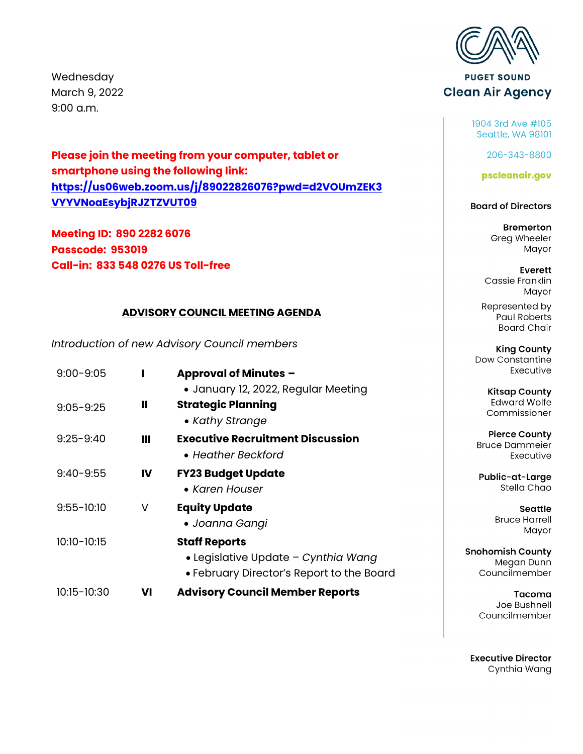Wednesday March 9, 2022 9:00 a.m.

**Please join the meeting from your computer, tablet or smartphone using the following link: [https://us06web.zoom.us/j/89022826076?pwd=d2VOUmZEK3](https://us06web.zoom.us/j/89022826076?pwd=d2VOUmZEK3VYYVNoaEsybjRJZTZVUT09) VYYVNoaEsybjRJZTZVUT09**

**Meeting ID: 890 2282 6076 Passcode: 953019 Call-in: 833 548 0276 US Toll-free** 

#### **ADVISORY COUNCIL MEETING AGENDA**

*Introduction of new Advisory Council members*

| $9:00 - 9:05$  |    | <b>Approval of Minutes -</b><br>• January 12, 2022, Regular Meeting                                      |           |
|----------------|----|----------------------------------------------------------------------------------------------------------|-----------|
| $9:05 - 9:25$  | Ш  | <b>Strategic Planning</b><br>• Kathy Strange                                                             |           |
| $9:25 - 9:40$  | Ш  | <b>Executive Recruitment Discussion</b><br>• Heather Beckford                                            | Bı        |
| $9:40 - 9:55$  | IV | <b>FY23 Budget Update</b><br>• Karen Houser                                                              | Ρ         |
| $9:55 - 10:10$ | V  | <b>Equity Update</b><br>• Joanna Gangi                                                                   |           |
| 10:10-10:15    |    | <b>Staff Reports</b><br>• Legislative Update - Cynthia Wang<br>• February Director's Report to the Board | Snol<br>C |
| 10:15-10:30    | VI | <b>Advisory Council Member Reports</b>                                                                   |           |
|                |    |                                                                                                          |           |



**PUGET SOUND Clean Air Agency** 

> 1904 3rd Ave #105 Seattle, WA 98101

> > 206-343-8800

pscleanair.gov

#### **Board of Directors**

**Bremerton** Greg Wheeler Mayor

Everett Cassie Franklin Mayor

Represented by **Paul Roberts Board Chair** 

**King County Dow Constantine** Executive

> **Kitsap County Edward Wolfe** Commissioner

**Pierce County** ruce Dammeier Executive

ublic-at-Large Stella Chao

> **Seattle Bruce Harrell** Mayor

homish County Megan Dunn Councilmember

Tacoma Joe Bushnell Councilmember

**Executive Director** Cynthia Wang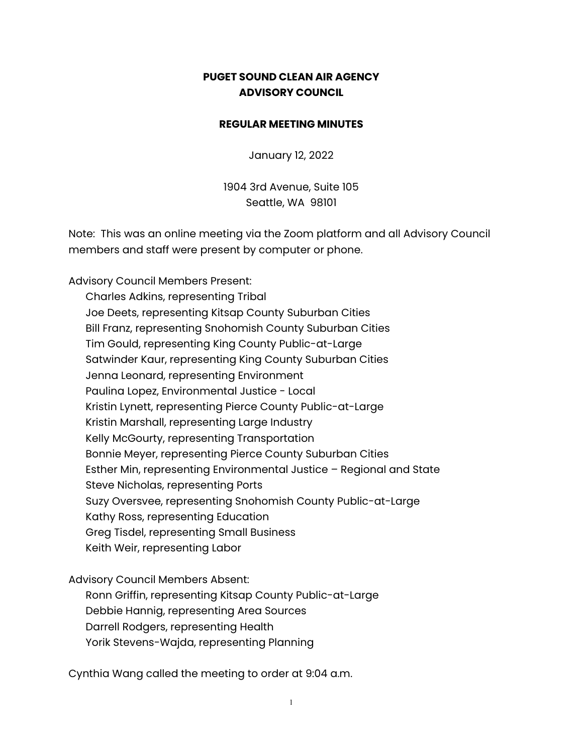### **PUGET SOUND CLEAN AIR AGENCY ADVISORY COUNCIL**

#### **REGULAR MEETING MINUTES**

January 12, 2022

1904 3rd Avenue, Suite 105 Seattle, WA 98101

Note: This was an online meeting via the Zoom platform and all Advisory Council members and staff were present by computer or phone.

Advisory Council Members Present:

Charles Adkins, representing Tribal Joe Deets, representing Kitsap County Suburban Cities Bill Franz, representing Snohomish County Suburban Cities Tim Gould, representing King County Public-at-Large Satwinder Kaur, representing King County Suburban Cities Jenna Leonard, representing Environment Paulina Lopez, Environmental Justice - Local Kristin Lynett, representing Pierce County Public-at-Large Kristin Marshall, representing Large Industry Kelly McGourty, representing Transportation Bonnie Meyer, representing Pierce County Suburban Cities Esther Min, representing Environmental Justice – Regional and State Steve Nicholas, representing Ports Suzy Oversvee, representing Snohomish County Public-at-Large Kathy Ross, representing Education Greg Tisdel, representing Small Business Keith Weir, representing Labor

Advisory Council Members Absent:

Ronn Griffin, representing Kitsap County Public-at-Large Debbie Hannig, representing Area Sources Darrell Rodgers, representing Health Yorik Stevens-Wajda, representing Planning

Cynthia Wang called the meeting to order at 9:04 a.m.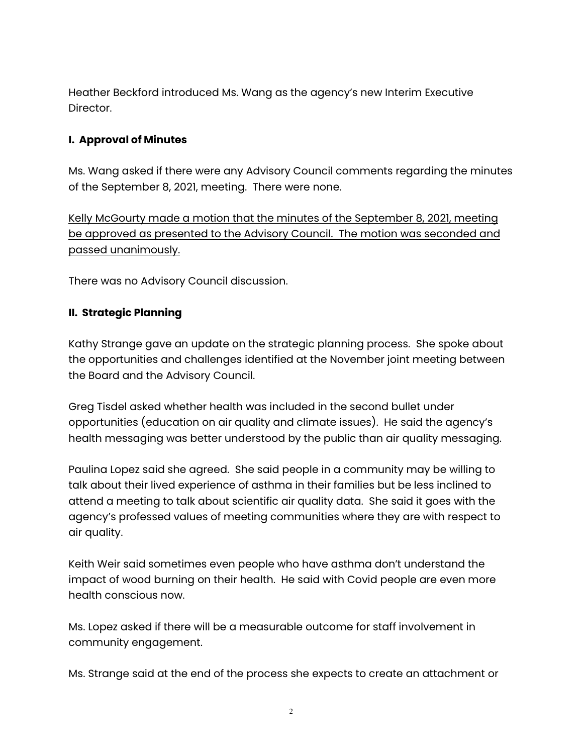Heather Beckford introduced Ms. Wang as the agency's new Interim Executive Director.

## **I. Approval of Minutes**

Ms. Wang asked if there were any Advisory Council comments regarding the minutes of the September 8, 2021, meeting. There were none.

Kelly McGourty made a motion that the minutes of the September 8, 2021, meeting be approved as presented to the Advisory Council. The motion was seconded and passed unanimously.

There was no Advisory Council discussion.

### **II. Strategic Planning**

Kathy Strange gave an update on the strategic planning process. She spoke about the opportunities and challenges identified at the November joint meeting between the Board and the Advisory Council.

Greg Tisdel asked whether health was included in the second bullet under opportunities (education on air quality and climate issues). He said the agency's health messaging was better understood by the public than air quality messaging.

Paulina Lopez said she agreed. She said people in a community may be willing to talk about their lived experience of asthma in their families but be less inclined to attend a meeting to talk about scientific air quality data. She said it goes with the agency's professed values of meeting communities where they are with respect to air quality.

Keith Weir said sometimes even people who have asthma don't understand the impact of wood burning on their health. He said with Covid people are even more health conscious now.

Ms. Lopez asked if there will be a measurable outcome for staff involvement in community engagement.

Ms. Strange said at the end of the process she expects to create an attachment or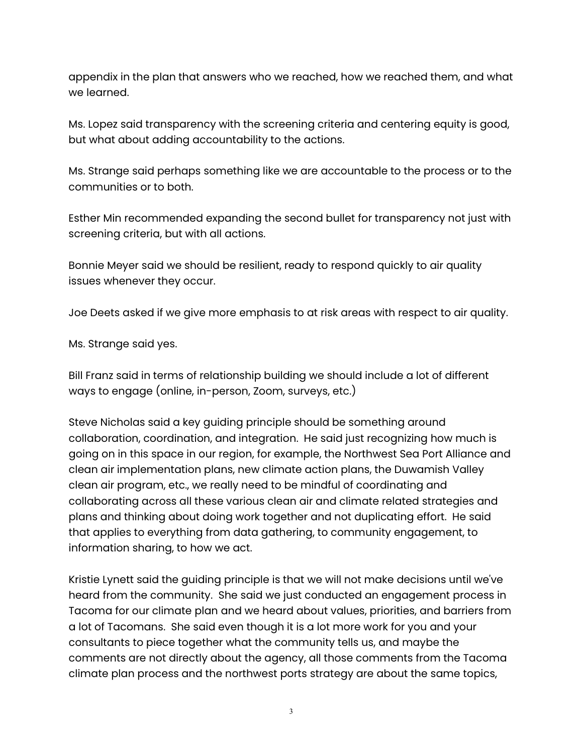appendix in the plan that answers who we reached, how we reached them, and what we learned.

Ms. Lopez said transparency with the screening criteria and centering equity is good, but what about adding accountability to the actions.

Ms. Strange said perhaps something like we are accountable to the process or to the communities or to both.

Esther Min recommended expanding the second bullet for transparency not just with screening criteria, but with all actions.

Bonnie Meyer said we should be resilient, ready to respond quickly to air quality issues whenever they occur.

Joe Deets asked if we give more emphasis to at risk areas with respect to air quality.

Ms. Strange said yes.

Bill Franz said in terms of relationship building we should include a lot of different ways to engage (online, in-person, Zoom, surveys, etc.)

Steve Nicholas said a key guiding principle should be something around collaboration, coordination, and integration. He said just recognizing how much is going on in this space in our region, for example, the Northwest Sea Port Alliance and clean air implementation plans, new climate action plans, the Duwamish Valley clean air program, etc., we really need to be mindful of coordinating and collaborating across all these various clean air and climate related strategies and plans and thinking about doing work together and not duplicating effort. He said that applies to everything from data gathering, to community engagement, to information sharing, to how we act.

Kristie Lynett said the guiding principle is that we will not make decisions until we've heard from the community. She said we just conducted an engagement process in Tacoma for our climate plan and we heard about values, priorities, and barriers from a lot of Tacomans. She said even though it is a lot more work for you and your consultants to piece together what the community tells us, and maybe the comments are not directly about the agency, all those comments from the Tacoma climate plan process and the northwest ports strategy are about the same topics,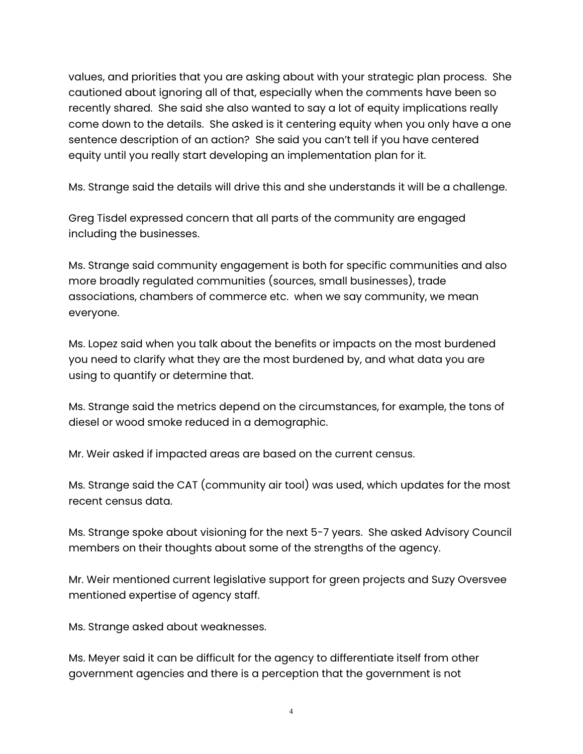values, and priorities that you are asking about with your strategic plan process. She cautioned about ignoring all of that, especially when the comments have been so recently shared. She said she also wanted to say a lot of equity implications really come down to the details. She asked is it centering equity when you only have a one sentence description of an action? She said you can't tell if you have centered equity until you really start developing an implementation plan for it.

Ms. Strange said the details will drive this and she understands it will be a challenge.

Greg Tisdel expressed concern that all parts of the community are engaged including the businesses.

Ms. Strange said community engagement is both for specific communities and also more broadly regulated communities (sources, small businesses), trade associations, chambers of commerce etc. when we say community, we mean everyone.

Ms. Lopez said when you talk about the benefits or impacts on the most burdened you need to clarify what they are the most burdened by, and what data you are using to quantify or determine that.

Ms. Strange said the metrics depend on the circumstances, for example, the tons of diesel or wood smoke reduced in a demographic.

Mr. Weir asked if impacted areas are based on the current census.

Ms. Strange said the CAT (community air tool) was used, which updates for the most recent census data.

Ms. Strange spoke about visioning for the next 5-7 years. She asked Advisory Council members on their thoughts about some of the strengths of the agency.

Mr. Weir mentioned current legislative support for green projects and Suzy Oversvee mentioned expertise of agency staff.

Ms. Strange asked about weaknesses.

Ms. Meyer said it can be difficult for the agency to differentiate itself from other government agencies and there is a perception that the government is not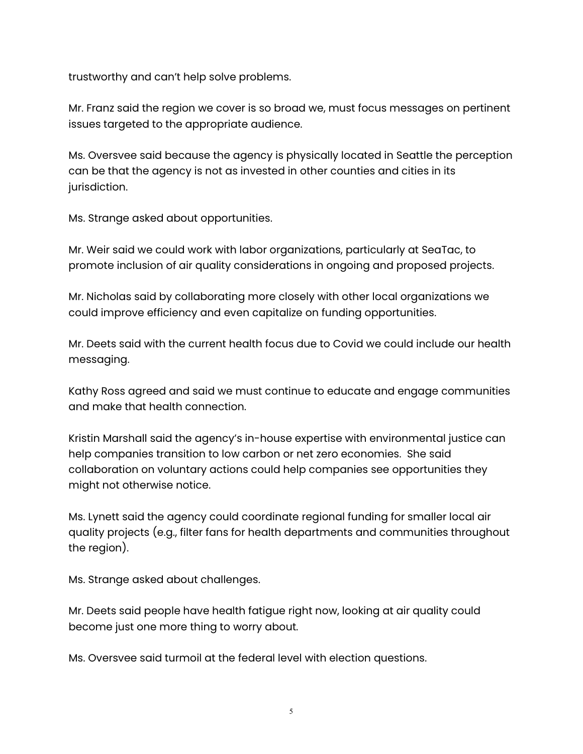trustworthy and can't help solve problems.

Mr. Franz said the region we cover is so broad we, must focus messages on pertinent issues targeted to the appropriate audience.

Ms. Oversvee said because the agency is physically located in Seattle the perception can be that the agency is not as invested in other counties and cities in its jurisdiction.

Ms. Strange asked about opportunities.

Mr. Weir said we could work with labor organizations, particularly at SeaTac, to promote inclusion of air quality considerations in ongoing and proposed projects.

Mr. Nicholas said by collaborating more closely with other local organizations we could improve efficiency and even capitalize on funding opportunities.

Mr. Deets said with the current health focus due to Covid we could include our health messaging.

Kathy Ross agreed and said we must continue to educate and engage communities and make that health connection.

Kristin Marshall said the agency's in-house expertise with environmental justice can help companies transition to low carbon or net zero economies. She said collaboration on voluntary actions could help companies see opportunities they might not otherwise notice.

Ms. Lynett said the agency could coordinate regional funding for smaller local air quality projects (e.g., filter fans for health departments and communities throughout the region).

Ms. Strange asked about challenges.

Mr. Deets said people have health fatigue right now, looking at air quality could become just one more thing to worry about.

Ms. Oversvee said turmoil at the federal level with election questions.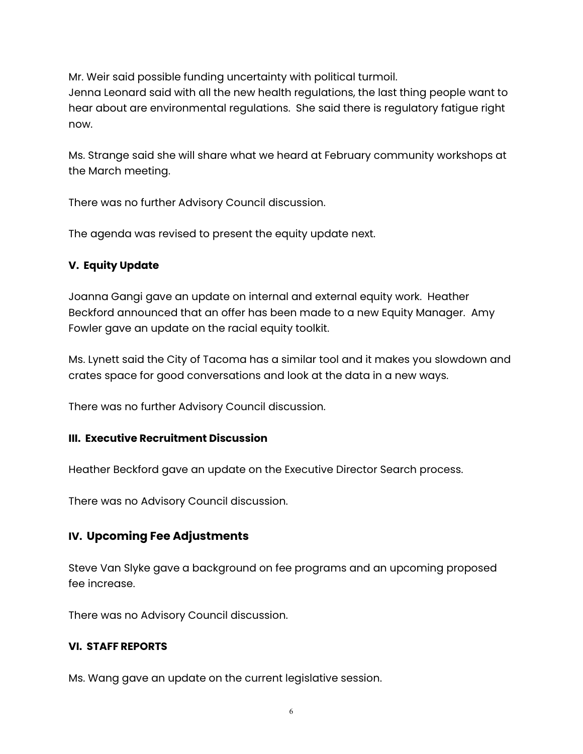Mr. Weir said possible funding uncertainty with political turmoil.

Jenna Leonard said with all the new health regulations, the last thing people want to hear about are environmental regulations. She said there is regulatory fatigue right now.

Ms. Strange said she will share what we heard at February community workshops at the March meeting.

There was no further Advisory Council discussion.

The agenda was revised to present the equity update next.

## **V. Equity Update**

Joanna Gangi gave an update on internal and external equity work. Heather Beckford announced that an offer has been made to a new Equity Manager. Amy Fowler gave an update on the racial equity toolkit.

Ms. Lynett said the City of Tacoma has a similar tool and it makes you slowdown and crates space for good conversations and look at the data in a new ways.

There was no further Advisory Council discussion.

## **III. Executive Recruitment Discussion**

Heather Beckford gave an update on the Executive Director Search process.

There was no Advisory Council discussion.

# **IV. Upcoming Fee Adjustments**

Steve Van Slyke gave a background on fee programs and an upcoming proposed fee increase.

There was no Advisory Council discussion.

## **VI. STAFF REPORTS**

Ms. Wang gave an update on the current legislative session.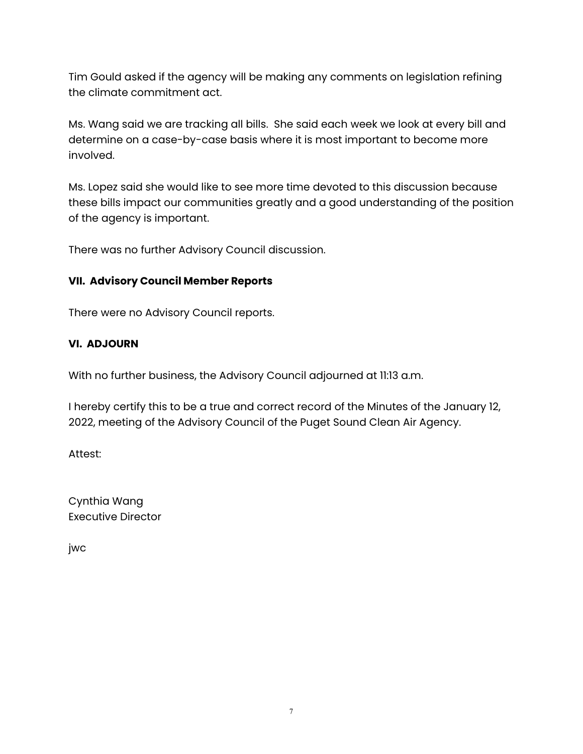Tim Gould asked if the agency will be making any comments on legislation refining the climate commitment act.

Ms. Wang said we are tracking all bills. She said each week we look at every bill and determine on a case-by-case basis where it is most important to become more involved.

Ms. Lopez said she would like to see more time devoted to this discussion because these bills impact our communities greatly and a good understanding of the position of the agency is important.

There was no further Advisory Council discussion.

### **VII. Advisory Council Member Reports**

There were no Advisory Council reports.

### **VI. ADJOURN**

With no further business, the Advisory Council adjourned at 11:13 a.m.

I hereby certify this to be a true and correct record of the Minutes of the January 12, 2022, meeting of the Advisory Council of the Puget Sound Clean Air Agency.

Attest:

Cynthia Wang Executive Director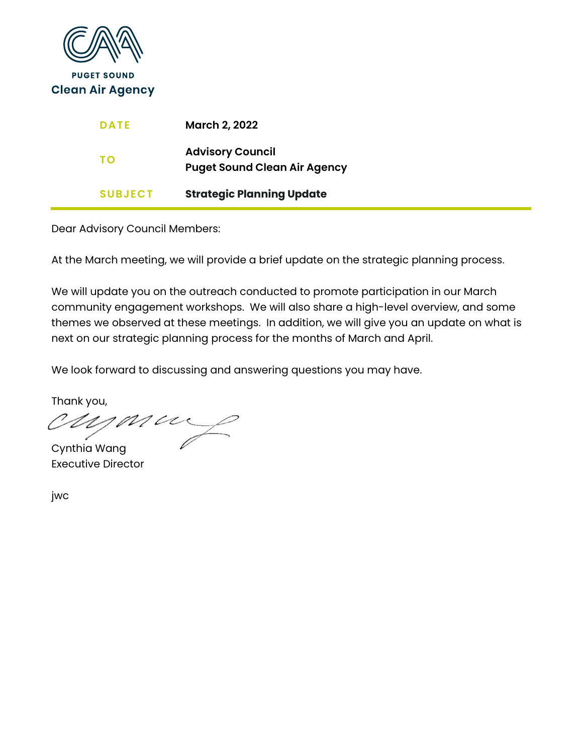

| <b>DATE</b>    | <b>March 2, 2022</b>                                           |
|----------------|----------------------------------------------------------------|
| TΟ             | <b>Advisory Council</b><br><b>Puget Sound Clean Air Agency</b> |
| <b>SUBJECT</b> | <b>Strategic Planning Update</b>                               |

At the March meeting, we will provide a brief update on the strategic planning process.

We will update you on the outreach conducted to promote participation in our March community engagement workshops. We will also share a high-level overview, and some themes we observed at these meetings. In addition, we will give you an update on what is next on our strategic planning process for the months of March and April.

We look forward to discussing and answering questions you may have.

Thank you,

Cynthia Wang Executive Director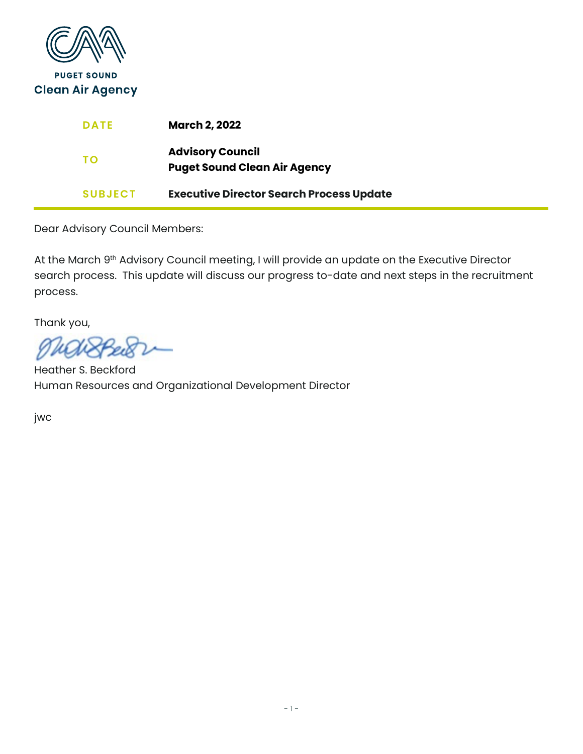

| <b>DATE</b>    | <b>March 2, 2022</b>                                           |
|----------------|----------------------------------------------------------------|
| TΟ             | <b>Advisory Council</b><br><b>Puget Sound Clean Air Agency</b> |
| <b>SUBJECT</b> | <b>Executive Director Search Process Update</b>                |

At the March 9<sup>th</sup> Advisory Council meeting, I will provide an update on the Executive Director search process. This update will discuss our progress to-date and next steps in the recruitment process.

Thank you,

Heather S. Beckford Human Resources and Organizational Development Director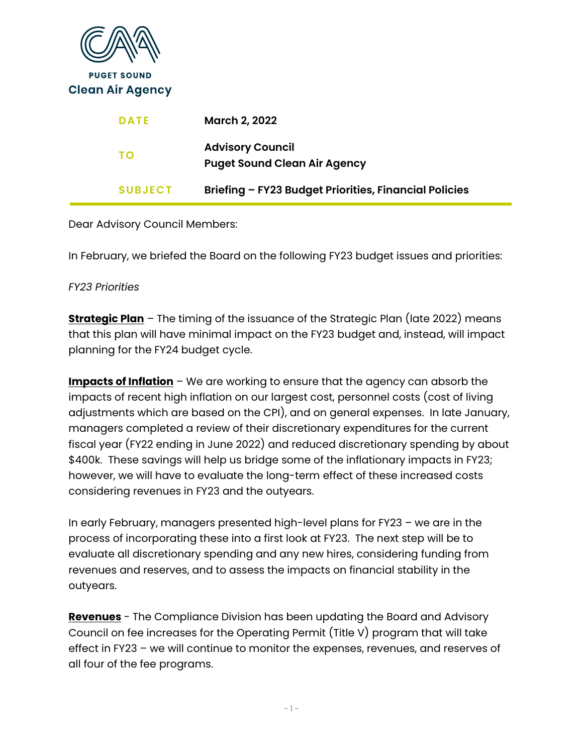| <b>PUGET SOUND</b><br><b>Clean Air Agency</b> |                                                                |
|-----------------------------------------------|----------------------------------------------------------------|
| <b>DATE</b>                                   | <b>March 2, 2022</b>                                           |
| <b>TO</b>                                     | <b>Advisory Council</b><br><b>Puget Sound Clean Air Agency</b> |
| <b>SUBJECT</b>                                | Briefing - FY23 Budget Priorities, Financial Policies          |
|                                               |                                                                |

In February, we briefed the Board on the following FY23 budget issues and priorities:

## *FY23 Priorities*

**Strategic Plan** – The timing of the issuance of the Strategic Plan (late 2022) means that this plan will have minimal impact on the FY23 budget and, instead, will impact planning for the FY24 budget cycle.

**Impacts of Inflation** – We are working to ensure that the agency can absorb the impacts of recent high inflation on our largest cost, personnel costs (cost of living adjustments which are based on the CPI), and on general expenses. In late January, managers completed a review of their discretionary expenditures for the current fiscal year (FY22 ending in June 2022) and reduced discretionary spending by about \$400k. These savings will help us bridge some of the inflationary impacts in FY23; however, we will have to evaluate the long-term effect of these increased costs considering revenues in FY23 and the outyears.

In early February, managers presented high-level plans for FY23 – we are in the process of incorporating these into a first look at FY23. The next step will be to evaluate all discretionary spending and any new hires, considering funding from revenues and reserves, and to assess the impacts on financial stability in the outyears.

**Revenues** - The Compliance Division has been updating the Board and Advisory Council on fee increases for the Operating Permit (Title V) program that will take effect in FY23 – we will continue to monitor the expenses, revenues, and reserves of all four of the fee programs.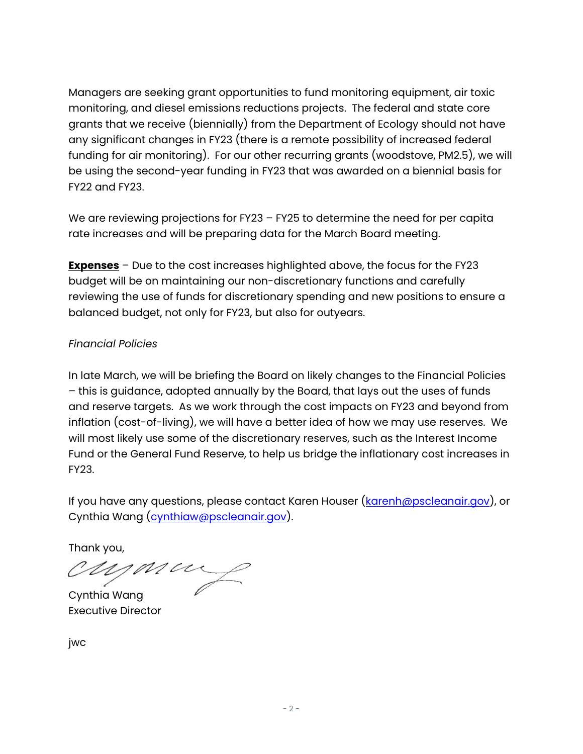Managers are seeking grant opportunities to fund monitoring equipment, air toxic monitoring, and diesel emissions reductions projects. The federal and state core grants that we receive (biennially) from the Department of Ecology should not have any significant changes in FY23 (there is a remote possibility of increased federal funding for air monitoring). For our other recurring grants (woodstove, PM2.5), we will be using the second-year funding in FY23 that was awarded on a biennial basis for FY22 and FY23.

We are reviewing projections for FY23 – FY25 to determine the need for per capita rate increases and will be preparing data for the March Board meeting.

**Expenses** – Due to the cost increases highlighted above, the focus for the FY23 budget will be on maintaining our non-discretionary functions and carefully reviewing the use of funds for discretionary spending and new positions to ensure a balanced budget, not only for FY23, but also for outyears.

# *Financial Policies*

In late March, we will be briefing the Board on likely changes to the Financial Policies – this is guidance, adopted annually by the Board, that lays out the uses of funds and reserve targets. As we work through the cost impacts on FY23 and beyond from inflation (cost-of-living), we will have a better idea of how we may use reserves. We will most likely use some of the discretionary reserves, such as the Interest Income Fund or the General Fund Reserve, to help us bridge the inflationary cost increases in FY23.

If you have any questions, please contact Karen Houser [\(karenh@pscleanair.gov\)](mailto:karenh@pscleanair.gov), or Cynthia Wang [\(cynthiaw@pscleanair.gov\)](mailto:cynthiaw@pscleanair.gov).

Thank you,<br>CUYMU

Cynthia Wang Executive Director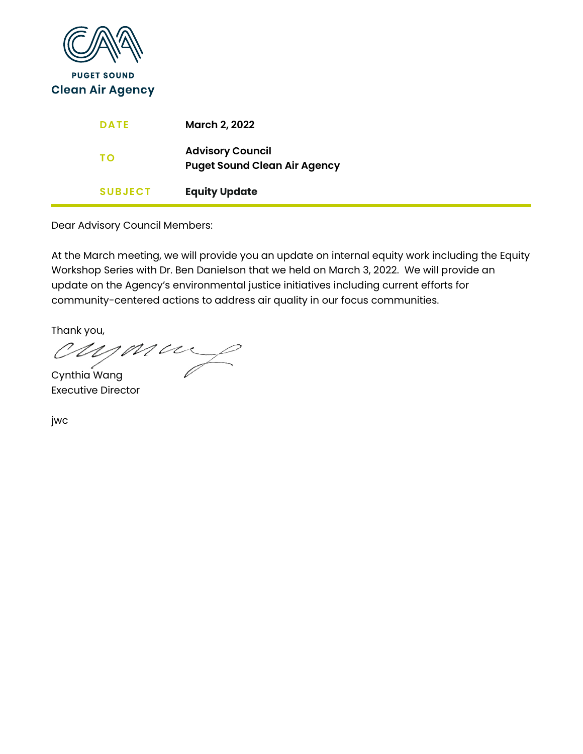

| <b>DATE</b>    | <b>March 2, 2022</b>                                           |
|----------------|----------------------------------------------------------------|
| ΤО             | <b>Advisory Council</b><br><b>Puget Sound Clean Air Agency</b> |
| <b>SUBJECT</b> | <b>Equity Update</b>                                           |

At the March meeting, we will provide you an update on internal equity work including the Equity Workshop Series with Dr. Ben Danielson that we held on March 3, 2022. We will provide an update on the Agency's environmental justice initiatives including current efforts for community-centered actions to address air quality in our focus communities.

Thank you,

Cynthia Wang Executive Director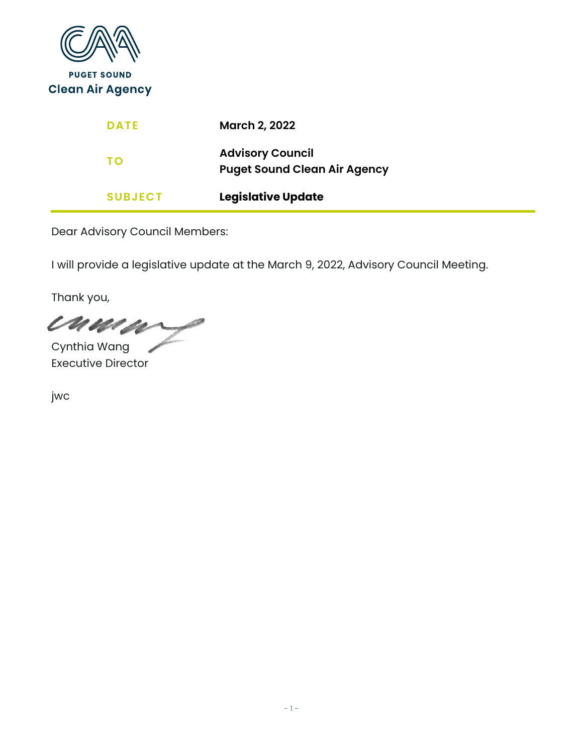

I will provide a legislative update at the March 9, 2022, Advisory Council Meeting.

Thank you,

cuma Cynthia Wang

Executive Director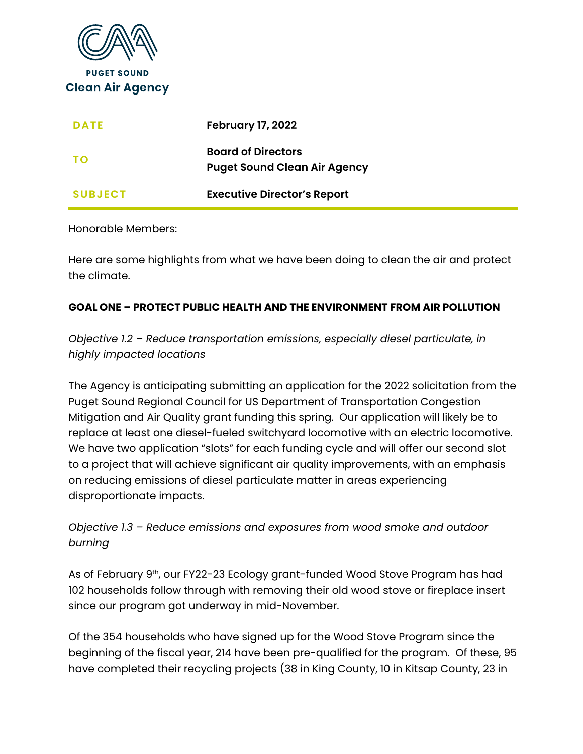

| <b>DATE</b>    | <b>February 17, 2022</b>                                         |
|----------------|------------------------------------------------------------------|
| <b>TO</b>      | <b>Board of Directors</b><br><b>Puget Sound Clean Air Agency</b> |
| <b>SUBJECT</b> | <b>Executive Director's Report</b>                               |

#### Honorable Members:

Here are some highlights from what we have been doing to clean the air and protect the climate.

#### **GOAL ONE – PROTECT PUBLIC HEALTH AND THE ENVIRONMENT FROM AIR POLLUTION**

*Objective 1.2 – Reduce transportation emissions, especially diesel particulate, in highly impacted locations*

The Agency is anticipating submitting an application for the 2022 solicitation from the Puget Sound Regional Council for US Department of Transportation Congestion Mitigation and Air Quality grant funding this spring. Our application will likely be to replace at least one diesel-fueled switchyard locomotive with an electric locomotive. We have two application "slots" for each funding cycle and will offer our second slot to a project that will achieve significant air quality improvements, with an emphasis on reducing emissions of diesel particulate matter in areas experiencing disproportionate impacts.

*Objective 1.3 – Reduce emissions and exposures from wood smoke and outdoor burning*

As of February 9<sup>th</sup>, our FY22-23 Ecology grant-funded Wood Stove Program has had 102 households follow through with removing their old wood stove or fireplace insert since our program got underway in mid-November.

Of the 354 households who have signed up for the Wood Stove Program since the beginning of the fiscal year, 214 have been pre-qualified for the program. Of these, 95 have completed their recycling projects (38 in King County, 10 in Kitsap County, 23 in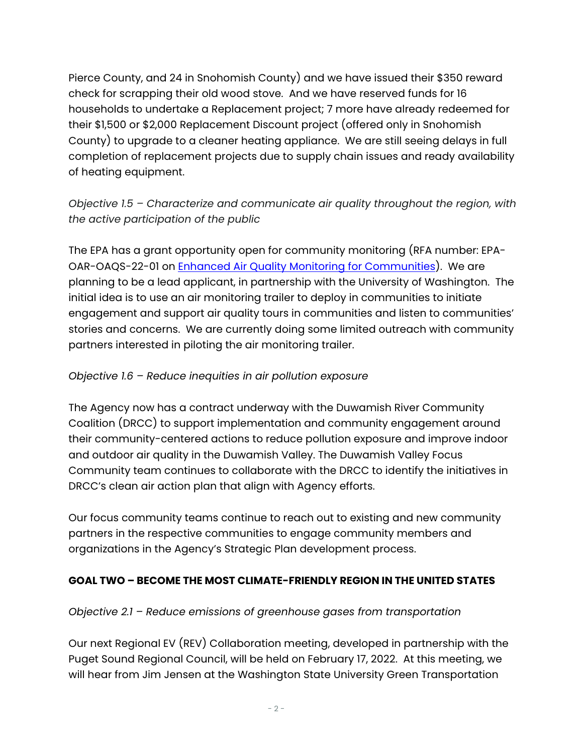Pierce County, and 24 in Snohomish County) and we have issued their \$350 reward check for scrapping their old wood stove. And we have reserved funds for 16 households to undertake a Replacement project; 7 more have already redeemed for their \$1,500 or \$2,000 Replacement Discount project (offered only in Snohomish County) to upgrade to a cleaner heating appliance. We are still seeing delays in full completion of replacement projects due to supply chain issues and ready availability of heating equipment.

*Objective 1.5 – Characterize and communicate air quality throughout the region, with the active participation of the public*

The EPA has a grant opportunity open for community monitoring (RFA number: EPA-OAR-OAQS-22-01 on [Enhanced Air Quality Monitoring for Communities\)](https://www.epa.gov/grants/enhanced-air-quality-monitoring-communities). We are planning to be a lead applicant, in partnership with the University of Washington. The initial idea is to use an air monitoring trailer to deploy in communities to initiate engagement and support air quality tours in communities and listen to communities' stories and concerns. We are currently doing some limited outreach with community partners interested in piloting the air monitoring trailer.

### *Objective 1.6 – Reduce inequities in air pollution exposure*

The Agency now has a contract underway with the Duwamish River Community Coalition (DRCC) to support implementation and community engagement around their community-centered actions to reduce pollution exposure and improve indoor and outdoor air quality in the Duwamish Valley. The Duwamish Valley Focus Community team continues to collaborate with the DRCC to identify the initiatives in DRCC's clean air action plan that align with Agency efforts.

Our focus community teams continue to reach out to existing and new community partners in the respective communities to engage community members and organizations in the Agency's Strategic Plan development process.

## **GOAL TWO – BECOME THE MOST CLIMATE-FRIENDLY REGION IN THE UNITED STATES**

#### *Objective 2.1 – Reduce emissions of greenhouse gases from transportation*

Our next Regional EV (REV) Collaboration meeting, developed in partnership with the Puget Sound Regional Council, will be held on February 17, 2022. At this meeting, we will hear from Jim Jensen at the Washington State University Green Transportation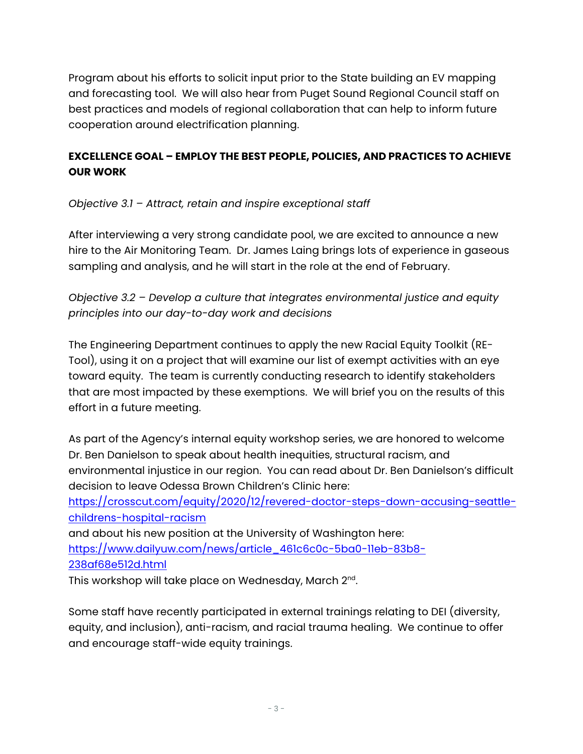Program about his efforts to solicit input prior to the State building an EV mapping and forecasting tool. We will also hear from Puget Sound Regional Council staff on best practices and models of regional collaboration that can help to inform future cooperation around electrification planning.

# **EXCELLENCE GOAL – EMPLOY THE BEST PEOPLE, POLICIES, AND PRACTICES TO ACHIEVE OUR WORK**

*Objective 3.1 – Attract, retain and inspire exceptional staff*

After interviewing a very strong candidate pool, we are excited to announce a new hire to the Air Monitoring Team. Dr. James Laing brings lots of experience in gaseous sampling and analysis, and he will start in the role at the end of February.

*Objective 3.2 – Develop a culture that integrates environmental justice and equity principles into our day-to-day work and decisions*

The Engineering Department continues to apply the new Racial Equity Toolkit (RE-Tool), using it on a project that will examine our list of exempt activities with an eye toward equity. The team is currently conducting research to identify stakeholders that are most impacted by these exemptions. We will brief you on the results of this effort in a future meeting.

As part of the Agency's internal equity workshop series, we are honored to welcome Dr. Ben Danielson to speak about health inequities, structural racism, and environmental injustice in our region. You can read about Dr. Ben Danielson's difficult decision to leave Odessa Brown Children's Clinic here:

[https://crosscut.com/equity/2020/12/revered-doctor-steps-down-accusing-seattle](https://crosscut.com/equity/2020/12/revered-doctor-steps-down-accusing-seattle-childrens-hospital-racism)[childrens-hospital-racism](https://crosscut.com/equity/2020/12/revered-doctor-steps-down-accusing-seattle-childrens-hospital-racism)

and about his new position at the University of Washington here: [https://www.dailyuw.com/news/article\\_461c6c0c-5ba0-11eb-83b8-](https://www.dailyuw.com/news/article_461c6c0c-5ba0-11eb-83b8-238af68e512d.html) [238af68e512d.html](https://www.dailyuw.com/news/article_461c6c0c-5ba0-11eb-83b8-238af68e512d.html)

This workshop will take place on Wednesday, March 2<sup>nd</sup>.

Some staff have recently participated in external trainings relating to DEI (diversity, equity, and inclusion), anti-racism, and racial trauma healing. We continue to offer and encourage staff-wide equity trainings.